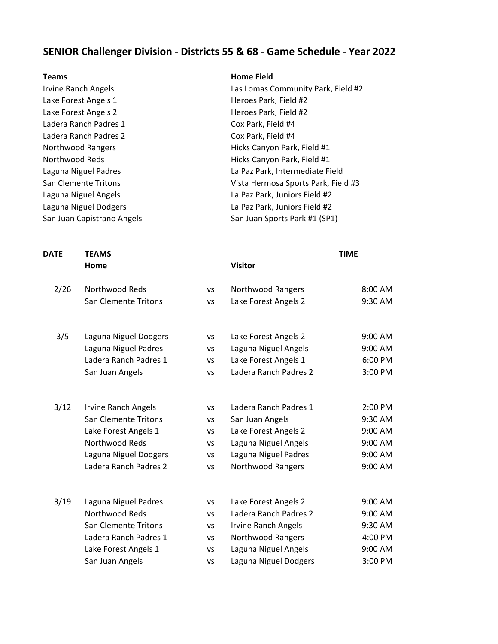## **SENIOR Challenger Division - Districts 55 & 68 - Game Schedule - Year 2022**

Lake Forest Angels 1 and the Case of Heroes Park, Field #2 Lake Forest Angels 2 Heroes Park, Field #2 Ladera Ranch Padres 1 Cox Park, Field #4 Ladera Ranch Padres 2 Cox Park, Field #4

#### **Teams Home Field**

Irvine Ranch Angels **Las Lomas Community Park, Field #2** Northwood Rangers **Hicks Canyon Park, Field #1** Northwood Reds **Hicks Canyon Park, Field #1** Laguna Niguel Padres La Paz Park, Intermediate Field San Clemente Tritons **Vista Hermosa Sports Park, Field #3** Laguna Niguel Angels La Paz Park, Juniors Field #2 Laguna Niguel Dodgers **Lack Communist Communist Communist Communist Communist Communist Communist Communist Co** San Juan Capistrano Angels San Juan Sports Park #1 (SP1)

# **DATE TEAMS TIME Home Visitor** 2/26 Northwood Reds vs Northwood Rangers 8:00 AM San Clemente Tritons vs Lake Forest Angels 2 9:30 AM 3/5 Laguna Niguel Dodgers vs Lake Forest Angels 2 9:00 AM Laguna Niguel Padres vs Laguna Niguel Angels 9:00 AM Ladera Ranch Padres 1 vs Lake Forest Angels 1 6:00 PM San Juan Angels vs Ladera Ranch Padres 2 3:00 PM 3/12 Irvine Ranch Angels vs Ladera Ranch Padres 1 2:00 PM San Clemente Tritons vs San Juan Angels 9:30 AM Lake Forest Angels 1 vs Lake Forest Angels 2 9:00 AM Northwood Reds vs Laguna Niguel Angels 9:00 AM Laguna Niguel Dodgers vs Laguna Niguel Padres 9:00 AM Ladera Ranch Padres 2 vs Northwood Rangers 9:00 AM 3/19 Laguna Niguel Padres vs Lake Forest Angels 2 9:00 AM Northwood Reds vs Ladera Ranch Padres 2 9:00 AM San Clemente Tritons vs Irvine Ranch Angels 9:30 AM Ladera Ranch Padres 1 vs Northwood Rangers 4:00 PM Lake Forest Angels 1 vs Laguna Niguel Angels 9:00 AM

San Juan Angels vs Laguna Niguel Dodgers 3:00 PM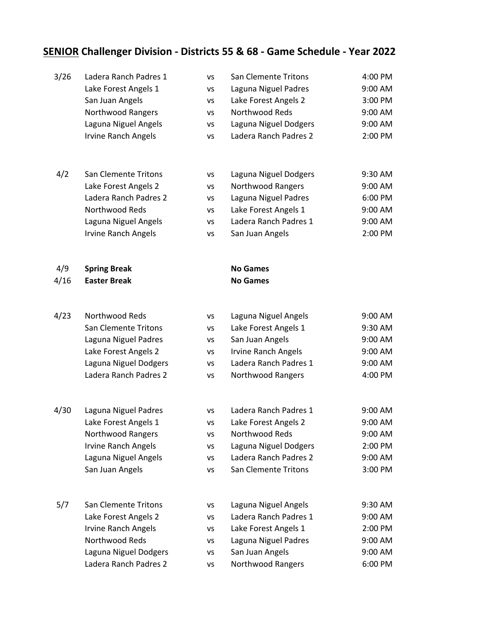# **SENIOR Challenger Division - Districts 55 & 68 - Game Schedule - Year 2022**

| 3/26 | Ladera Ranch Padres 1      | <b>VS</b> | <b>San Clemente Tritons</b> | 4:00 PM |
|------|----------------------------|-----------|-----------------------------|---------|
|      | Lake Forest Angels 1       | VS        | Laguna Niguel Padres        | 9:00 AM |
|      | San Juan Angels            | VS        | Lake Forest Angels 2        | 3:00 PM |
|      | Northwood Rangers          | <b>VS</b> | Northwood Reds              | 9:00 AM |
|      | Laguna Niguel Angels       | VS        | Laguna Niguel Dodgers       | 9:00 AM |
|      | <b>Irvine Ranch Angels</b> | VS        | Ladera Ranch Padres 2       | 2:00 PM |
| 4/2  | San Clemente Tritons       | VS        | Laguna Niguel Dodgers       | 9:30 AM |
|      | Lake Forest Angels 2       | VS        | <b>Northwood Rangers</b>    | 9:00 AM |
|      | Ladera Ranch Padres 2      | vs        | Laguna Niguel Padres        | 6:00 PM |
|      | Northwood Reds             | VS        | Lake Forest Angels 1        | 9:00 AM |
|      | Laguna Niguel Angels       | VS        | Ladera Ranch Padres 1       | 9:00 AM |
|      | <b>Irvine Ranch Angels</b> | VS        | San Juan Angels             | 2:00 PM |
| 4/9  | <b>Spring Break</b>        |           | <b>No Games</b>             |         |
| 4/16 | <b>Easter Break</b>        |           | <b>No Games</b>             |         |
| 4/23 | Northwood Reds             | VS        | Laguna Niguel Angels        | 9:00 AM |
|      | San Clemente Tritons       | VS        | Lake Forest Angels 1        | 9:30 AM |
|      | Laguna Niguel Padres       | VS        | San Juan Angels             | 9:00 AM |
|      | Lake Forest Angels 2       | VS        | <b>Irvine Ranch Angels</b>  | 9:00 AM |
|      | Laguna Niguel Dodgers      | VS        | Ladera Ranch Padres 1       | 9:00 AM |
|      | Ladera Ranch Padres 2      | VS        | Northwood Rangers           | 4:00 PM |
| 4/30 | Laguna Niguel Padres       | vs        | Ladera Ranch Padres 1       | 9:00 AM |
|      | Lake Forest Angels 1       | VS        | Lake Forest Angels 2        | 9:00 AM |
|      | Northwood Rangers          | VS        | Northwood Reds              | 9:00 AM |
|      | <b>Irvine Ranch Angels</b> | ٧S        | Laguna Niguel Dodgers       | 2:00 PM |
|      | Laguna Niguel Angels       | VS        | Ladera Ranch Padres 2       | 9:00 AM |
|      | San Juan Angels            | VS        | San Clemente Tritons        | 3:00 PM |
| 5/7  | San Clemente Tritons       | VS        | Laguna Niguel Angels        | 9:30 AM |
|      | Lake Forest Angels 2       | VS        | Ladera Ranch Padres 1       | 9:00 AM |
|      | <b>Irvine Ranch Angels</b> | VS        | Lake Forest Angels 1        | 2:00 PM |
|      | Northwood Reds             | VS        | Laguna Niguel Padres        | 9:00 AM |
|      | Laguna Niguel Dodgers      | VS        | San Juan Angels             | 9:00 AM |
|      | Ladera Ranch Padres 2      | vs        | Northwood Rangers           | 6:00 PM |